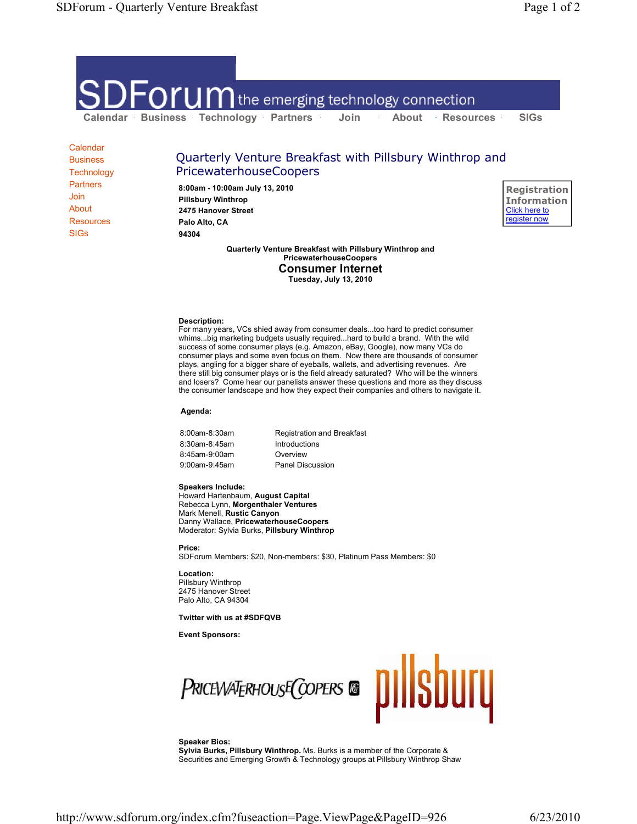

**Calendar Business Technology Partners** Join About Resources SIGs

## Quarterly Venture Breakfast with Pillsbury Winthrop and PricewaterhouseCoopers

**8:00am - 10:00am July 13, 2010 Pillsbury Winthrop 2475 Hanover Street Palo Alto, CA 94304**

**Registration Information** Click here to register now

**Quarterly Venture Breakfast with Pillsbury Winthrop and PricewaterhouseCoopers Consumer Internet Tuesday, July 13, 2010**

**Description:** For many years, VCs shied away from consumer deals...too hard to predict consumer whims...big marketing budgets usually required...hard to build a brand. With the wild success of some consumer plays (e.g. Amazon, eBay, Google), now many VCs do consumer plays and some even focus on them. Now there are thousands of consumer plays, angling for a bigger share of eyeballs, wallets, and advertising revenues. Are there still big consumer plays or is the field already saturated? Who will be the winners and losers? Come hear our panelists answer these questions and more as they discuss the consumer landscape and how they expect their companies and others to navigate it.

**Agenda:**

8:00am-8:30am Registration and Breakfast 8:30am-8:45am Introductions 8:45am-9:00am Overview 9:00am-9:45am Panel Discussion

## **Speakers Include:**

Howard Hartenbaum, **August Capital** Rebecca Lynn, **Morgenthaler Ventures** Mark Menell, **Rustic Canyon** Danny Wallace, **PricewaterhouseCoopers** Moderator: Sylvia Burks, **Pillsbury Winthrop**

**Price:** SDForum Members: \$20, Non-members: \$30, Platinum Pass Members: \$0

**Location:** Pillsbury Winthrop 2475 Hanover Street Palo Alto, CA 94304

## **Twitter with us at #SDFQVB**

**Event Sponsors:**



## **Speaker Bios:**

**Sylvia Burks, Pillsbury Winthrop.** Ms. Burks is a member of the Corporate & Securities and Emerging Growth & Technology groups at Pillsbury Winthrop Shaw